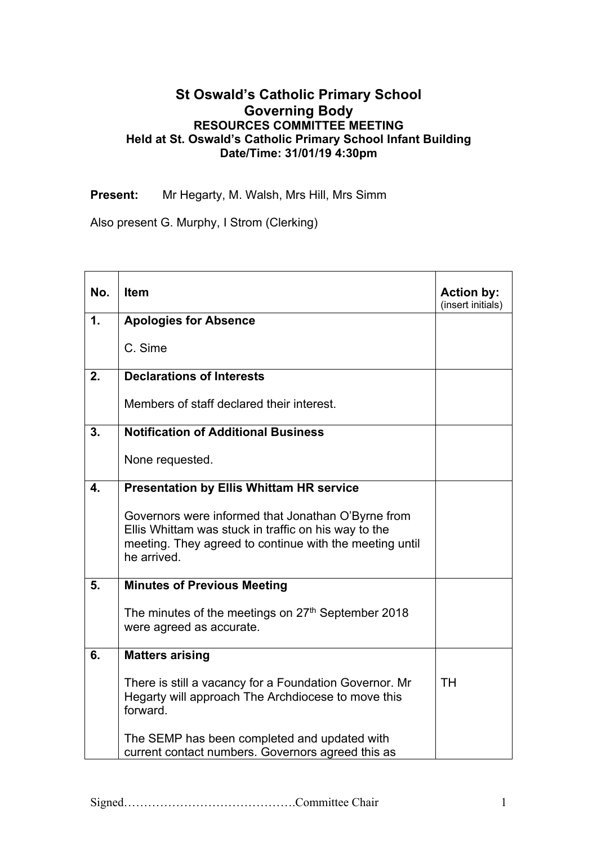## **St Oswald's Catholic Primary School Governing Body RESOURCES COMMITTEE MEETING Held at St. Oswald's Catholic Primary School Infant Building Date/Time: 31/01/19 4:30pm**

**Present:** Mr Hegarty, M. Walsh, Mrs Hill, Mrs Simm

Also present G. Murphy, I Strom (Clerking)

| No. | <b>Item</b>                                                                                                                                                                          | <b>Action by:</b><br>(insert initials) |
|-----|--------------------------------------------------------------------------------------------------------------------------------------------------------------------------------------|----------------------------------------|
| 1.  | <b>Apologies for Absence</b>                                                                                                                                                         |                                        |
|     | C. Sime                                                                                                                                                                              |                                        |
| 2.  | <b>Declarations of Interests</b>                                                                                                                                                     |                                        |
|     | Members of staff declared their interest.                                                                                                                                            |                                        |
| 3.  | <b>Notification of Additional Business</b>                                                                                                                                           |                                        |
|     | None requested.                                                                                                                                                                      |                                        |
| 4.  | <b>Presentation by Ellis Whittam HR service</b>                                                                                                                                      |                                        |
|     | Governors were informed that Jonathan O'Byrne from<br>Ellis Whittam was stuck in traffic on his way to the<br>meeting. They agreed to continue with the meeting until<br>he arrived. |                                        |
| 5.  | <b>Minutes of Previous Meeting</b>                                                                                                                                                   |                                        |
|     | The minutes of the meetings on 27 <sup>th</sup> September 2018<br>were agreed as accurate.                                                                                           |                                        |
| 6.  | <b>Matters arising</b>                                                                                                                                                               |                                        |
|     | There is still a vacancy for a Foundation Governor. Mr<br>Hegarty will approach The Archdiocese to move this<br>forward.                                                             | <b>TH</b>                              |
|     | The SEMP has been completed and updated with<br>current contact numbers. Governors agreed this as                                                                                    |                                        |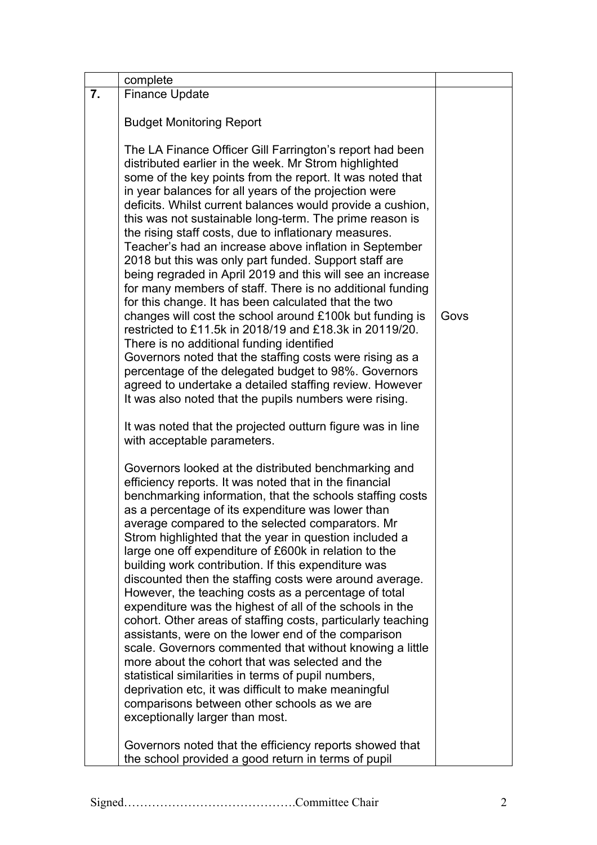|    | complete                                                                                                                                                                                                                                                                                                                                                                                                                                                                                                                                                                                                                                                                                                                                                                                                                                                                                                                                                                                                                                                                                                                                     |      |
|----|----------------------------------------------------------------------------------------------------------------------------------------------------------------------------------------------------------------------------------------------------------------------------------------------------------------------------------------------------------------------------------------------------------------------------------------------------------------------------------------------------------------------------------------------------------------------------------------------------------------------------------------------------------------------------------------------------------------------------------------------------------------------------------------------------------------------------------------------------------------------------------------------------------------------------------------------------------------------------------------------------------------------------------------------------------------------------------------------------------------------------------------------|------|
| 7. | <b>Finance Update</b>                                                                                                                                                                                                                                                                                                                                                                                                                                                                                                                                                                                                                                                                                                                                                                                                                                                                                                                                                                                                                                                                                                                        |      |
|    | <b>Budget Monitoring Report</b>                                                                                                                                                                                                                                                                                                                                                                                                                                                                                                                                                                                                                                                                                                                                                                                                                                                                                                                                                                                                                                                                                                              |      |
|    | The LA Finance Officer Gill Farrington's report had been<br>distributed earlier in the week. Mr Strom highlighted<br>some of the key points from the report. It was noted that<br>in year balances for all years of the projection were<br>deficits. Whilst current balances would provide a cushion,<br>this was not sustainable long-term. The prime reason is<br>the rising staff costs, due to inflationary measures.<br>Teacher's had an increase above inflation in September<br>2018 but this was only part funded. Support staff are<br>being regraded in April 2019 and this will see an increase<br>for many members of staff. There is no additional funding<br>for this change. It has been calculated that the two<br>changes will cost the school around £100k but funding is<br>restricted to £11.5k in 2018/19 and £18.3k in 20119/20.<br>There is no additional funding identified<br>Governors noted that the staffing costs were rising as a<br>percentage of the delegated budget to 98%. Governors<br>agreed to undertake a detailed staffing review. However<br>It was also noted that the pupils numbers were rising. | Govs |
|    | It was noted that the projected outturn figure was in line<br>with acceptable parameters.                                                                                                                                                                                                                                                                                                                                                                                                                                                                                                                                                                                                                                                                                                                                                                                                                                                                                                                                                                                                                                                    |      |
|    | Governors looked at the distributed benchmarking and<br>efficiency reports. It was noted that in the financial<br>benchmarking information, that the schools staffing costs<br>as a percentage of its expenditure was lower than<br>average compared to the selected comparators. Mr<br>Strom highlighted that the year in question included a<br>large one off expenditure of £600k in relation to the<br>building work contribution. If this expenditure was<br>discounted then the staffing costs were around average.<br>However, the teaching costs as a percentage of total<br>expenditure was the highest of all of the schools in the<br>cohort. Other areas of staffing costs, particularly teaching<br>assistants, were on the lower end of the comparison<br>scale. Governors commented that without knowing a little<br>more about the cohort that was selected and the<br>statistical similarities in terms of pupil numbers,<br>deprivation etc, it was difficult to make meaningful<br>comparisons between other schools as we are<br>exceptionally larger than most.                                                         |      |
|    | Governors noted that the efficiency reports showed that<br>the school provided a good return in terms of pupil                                                                                                                                                                                                                                                                                                                                                                                                                                                                                                                                                                                                                                                                                                                                                                                                                                                                                                                                                                                                                               |      |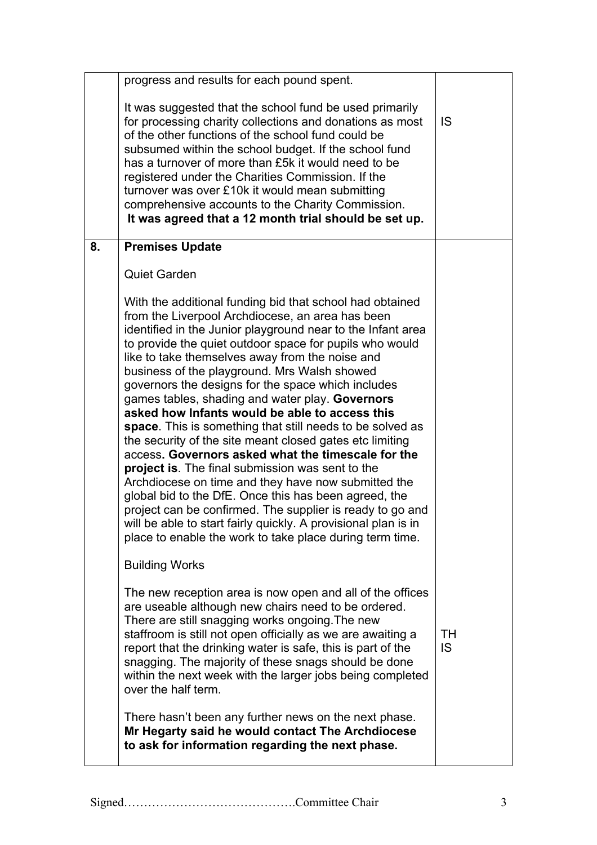|    | progress and results for each pound spent.                                                                                                                                                                                                                                                                                                                                                                                                                                                                                                                                                                                                                                                                                                                                                                                                                                                                                                                                                                                                                |           |
|----|-----------------------------------------------------------------------------------------------------------------------------------------------------------------------------------------------------------------------------------------------------------------------------------------------------------------------------------------------------------------------------------------------------------------------------------------------------------------------------------------------------------------------------------------------------------------------------------------------------------------------------------------------------------------------------------------------------------------------------------------------------------------------------------------------------------------------------------------------------------------------------------------------------------------------------------------------------------------------------------------------------------------------------------------------------------|-----------|
|    | It was suggested that the school fund be used primarily<br>for processing charity collections and donations as most<br>of the other functions of the school fund could be<br>subsumed within the school budget. If the school fund<br>has a turnover of more than £5k it would need to be<br>registered under the Charities Commission. If the<br>turnover was over £10k it would mean submitting<br>comprehensive accounts to the Charity Commission.<br>It was agreed that a 12 month trial should be set up.                                                                                                                                                                                                                                                                                                                                                                                                                                                                                                                                           | IS        |
| 8. | <b>Premises Update</b>                                                                                                                                                                                                                                                                                                                                                                                                                                                                                                                                                                                                                                                                                                                                                                                                                                                                                                                                                                                                                                    |           |
|    | <b>Quiet Garden</b>                                                                                                                                                                                                                                                                                                                                                                                                                                                                                                                                                                                                                                                                                                                                                                                                                                                                                                                                                                                                                                       |           |
|    | With the additional funding bid that school had obtained<br>from the Liverpool Archdiocese, an area has been<br>identified in the Junior playground near to the Infant area<br>to provide the quiet outdoor space for pupils who would<br>like to take themselves away from the noise and<br>business of the playground. Mrs Walsh showed<br>governors the designs for the space which includes<br>games tables, shading and water play. Governors<br>asked how Infants would be able to access this<br>space. This is something that still needs to be solved as<br>the security of the site meant closed gates etc limiting<br>access. Governors asked what the timescale for the<br><b>project is.</b> The final submission was sent to the<br>Archdiocese on time and they have now submitted the<br>global bid to the DfE. Once this has been agreed, the<br>project can be confirmed. The supplier is ready to go and<br>will be able to start fairly quickly. A provisional plan is in<br>place to enable the work to take place during term time. |           |
|    | <b>Building Works</b>                                                                                                                                                                                                                                                                                                                                                                                                                                                                                                                                                                                                                                                                                                                                                                                                                                                                                                                                                                                                                                     |           |
|    | The new reception area is now open and all of the offices<br>are useable although new chairs need to be ordered.<br>There are still snagging works ongoing. The new<br>staffroom is still not open officially as we are awaiting a<br>report that the drinking water is safe, this is part of the<br>snagging. The majority of these snags should be done<br>within the next week with the larger jobs being completed<br>over the half term.                                                                                                                                                                                                                                                                                                                                                                                                                                                                                                                                                                                                             | TH<br>IS. |
|    | There hasn't been any further news on the next phase.<br>Mr Hegarty said he would contact The Archdiocese<br>to ask for information regarding the next phase.                                                                                                                                                                                                                                                                                                                                                                                                                                                                                                                                                                                                                                                                                                                                                                                                                                                                                             |           |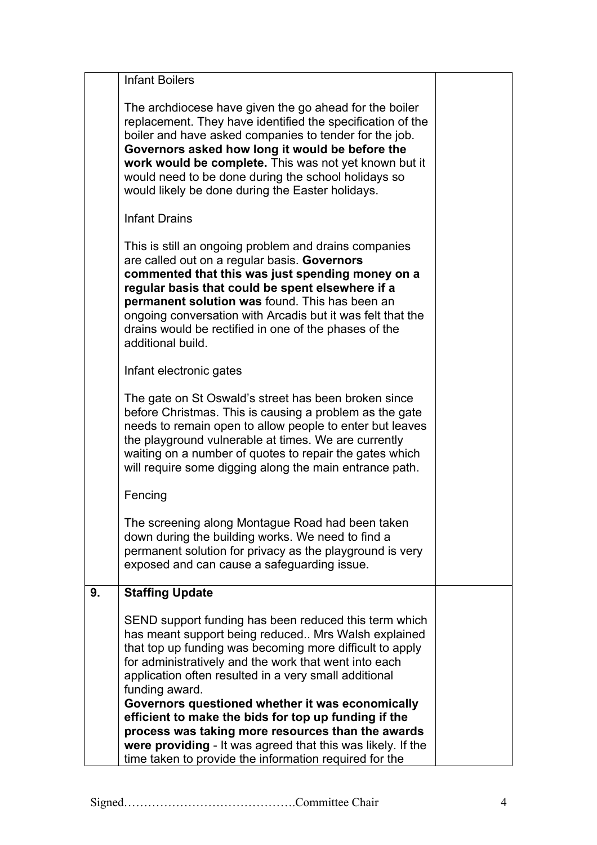|    | <b>Infant Boilers</b>                                                                                                                                                                                                                                                                                                                                                                                                                                                                                                                                                                                  |  |
|----|--------------------------------------------------------------------------------------------------------------------------------------------------------------------------------------------------------------------------------------------------------------------------------------------------------------------------------------------------------------------------------------------------------------------------------------------------------------------------------------------------------------------------------------------------------------------------------------------------------|--|
|    | The archdiocese have given the go ahead for the boiler<br>replacement. They have identified the specification of the<br>boiler and have asked companies to tender for the job.<br>Governors asked how long it would be before the<br>work would be complete. This was not yet known but it<br>would need to be done during the school holidays so<br>would likely be done during the Easter holidays.                                                                                                                                                                                                  |  |
|    | <b>Infant Drains</b>                                                                                                                                                                                                                                                                                                                                                                                                                                                                                                                                                                                   |  |
|    | This is still an ongoing problem and drains companies<br>are called out on a regular basis. Governors<br>commented that this was just spending money on a<br>regular basis that could be spent elsewhere if a<br>permanent solution was found. This has been an<br>ongoing conversation with Arcadis but it was felt that the<br>drains would be rectified in one of the phases of the<br>additional build.                                                                                                                                                                                            |  |
|    | Infant electronic gates                                                                                                                                                                                                                                                                                                                                                                                                                                                                                                                                                                                |  |
|    | The gate on St Oswald's street has been broken since<br>before Christmas. This is causing a problem as the gate<br>needs to remain open to allow people to enter but leaves<br>the playground vulnerable at times. We are currently<br>waiting on a number of quotes to repair the gates which<br>will require some digging along the main entrance path.                                                                                                                                                                                                                                              |  |
|    | Fencing                                                                                                                                                                                                                                                                                                                                                                                                                                                                                                                                                                                                |  |
|    | The screening along Montague Road had been taken<br>down during the building works. We need to find a<br>permanent solution for privacy as the playground is very<br>exposed and can cause a safeguarding issue.                                                                                                                                                                                                                                                                                                                                                                                       |  |
| 9. | <b>Staffing Update</b>                                                                                                                                                                                                                                                                                                                                                                                                                                                                                                                                                                                 |  |
|    | SEND support funding has been reduced this term which<br>has meant support being reduced Mrs Walsh explained<br>that top up funding was becoming more difficult to apply<br>for administratively and the work that went into each<br>application often resulted in a very small additional<br>funding award.<br>Governors questioned whether it was economically<br>efficient to make the bids for top up funding if the<br>process was taking more resources than the awards<br>were providing - It was agreed that this was likely. If the<br>time taken to provide the information required for the |  |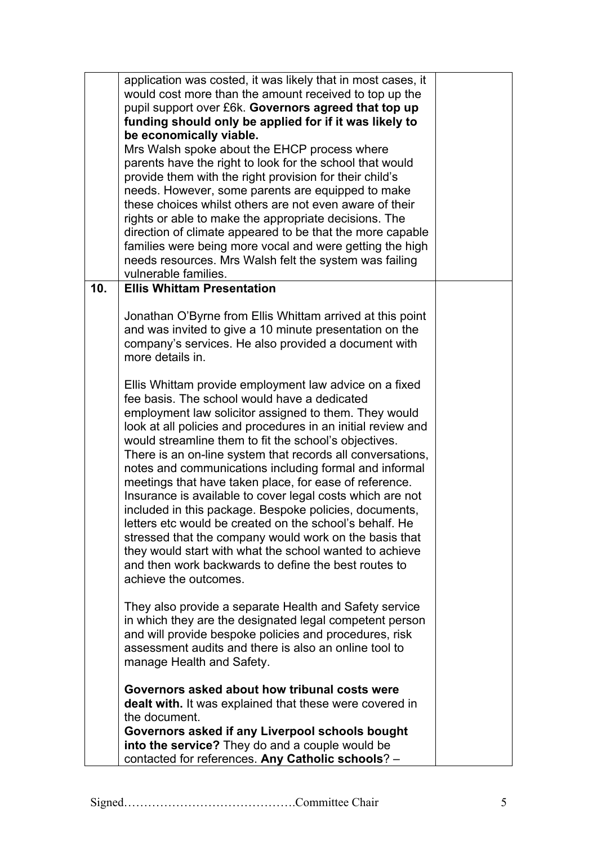|     | application was costed, it was likely that in most cases, it<br>would cost more than the amount received to top up the<br>pupil support over £6k. Governors agreed that top up<br>funding should only be applied for if it was likely to<br>be economically viable.<br>Mrs Walsh spoke about the EHCP process where<br>parents have the right to look for the school that would<br>provide them with the right provision for their child's<br>needs. However, some parents are equipped to make<br>these choices whilst others are not even aware of their<br>rights or able to make the appropriate decisions. The                                                                                                                                                                                                                                                |  |
|-----|--------------------------------------------------------------------------------------------------------------------------------------------------------------------------------------------------------------------------------------------------------------------------------------------------------------------------------------------------------------------------------------------------------------------------------------------------------------------------------------------------------------------------------------------------------------------------------------------------------------------------------------------------------------------------------------------------------------------------------------------------------------------------------------------------------------------------------------------------------------------|--|
|     | direction of climate appeared to be that the more capable<br>families were being more vocal and were getting the high<br>needs resources. Mrs Walsh felt the system was failing<br>vulnerable families.                                                                                                                                                                                                                                                                                                                                                                                                                                                                                                                                                                                                                                                            |  |
| 10. | <b>Ellis Whittam Presentation</b>                                                                                                                                                                                                                                                                                                                                                                                                                                                                                                                                                                                                                                                                                                                                                                                                                                  |  |
|     | Jonathan O'Byrne from Ellis Whittam arrived at this point<br>and was invited to give a 10 minute presentation on the<br>company's services. He also provided a document with<br>more details in.                                                                                                                                                                                                                                                                                                                                                                                                                                                                                                                                                                                                                                                                   |  |
|     | Ellis Whittam provide employment law advice on a fixed<br>fee basis. The school would have a dedicated<br>employment law solicitor assigned to them. They would<br>look at all policies and procedures in an initial review and<br>would streamline them to fit the school's objectives.<br>There is an on-line system that records all conversations,<br>notes and communications including formal and informal<br>meetings that have taken place, for ease of reference.<br>Insurance is available to cover legal costs which are not<br>included in this package. Bespoke policies, documents,<br>letters etc would be created on the school's behalf. He<br>stressed that the company would work on the basis that<br>they would start with what the school wanted to achieve<br>and then work backwards to define the best routes to<br>achieve the outcomes. |  |
|     | They also provide a separate Health and Safety service<br>in which they are the designated legal competent person<br>and will provide bespoke policies and procedures, risk<br>assessment audits and there is also an online tool to<br>manage Health and Safety.                                                                                                                                                                                                                                                                                                                                                                                                                                                                                                                                                                                                  |  |
|     | Governors asked about how tribunal costs were<br>dealt with. It was explained that these were covered in<br>the document.<br>Governors asked if any Liverpool schools bought<br>into the service? They do and a couple would be<br>contacted for references. Any Catholic schools? -                                                                                                                                                                                                                                                                                                                                                                                                                                                                                                                                                                               |  |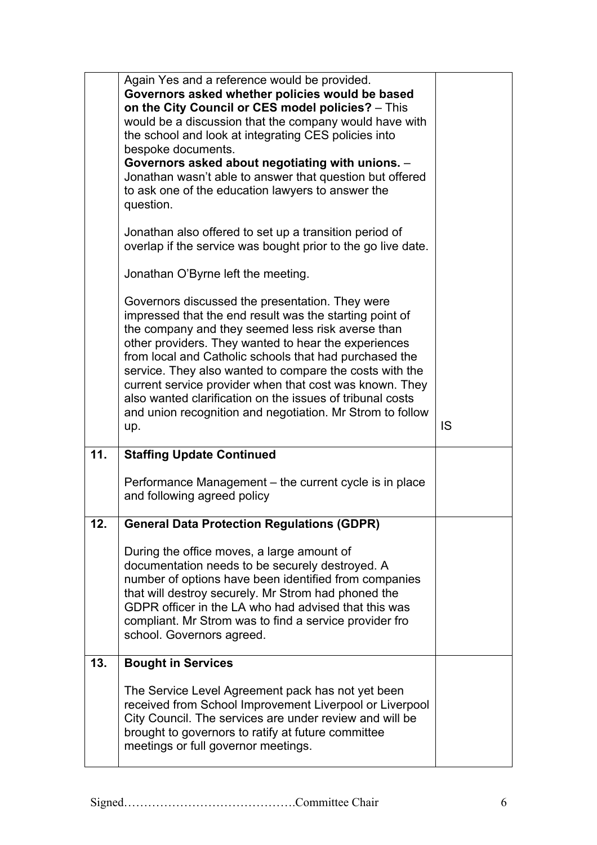|     | Again Yes and a reference would be provided.<br>Governors asked whether policies would be based<br>on the City Council or CES model policies? - This<br>would be a discussion that the company would have with<br>the school and look at integrating CES policies into<br>bespoke documents.<br>Governors asked about negotiating with unions. -<br>Jonathan wasn't able to answer that question but offered<br>to ask one of the education lawyers to answer the<br>question.<br>Jonathan also offered to set up a transition period of<br>overlap if the service was bought prior to the go live date.<br>Jonathan O'Byrne left the meeting. |    |
|-----|------------------------------------------------------------------------------------------------------------------------------------------------------------------------------------------------------------------------------------------------------------------------------------------------------------------------------------------------------------------------------------------------------------------------------------------------------------------------------------------------------------------------------------------------------------------------------------------------------------------------------------------------|----|
|     | Governors discussed the presentation. They were<br>impressed that the end result was the starting point of<br>the company and they seemed less risk averse than<br>other providers. They wanted to hear the experiences<br>from local and Catholic schools that had purchased the<br>service. They also wanted to compare the costs with the<br>current service provider when that cost was known. They<br>also wanted clarification on the issues of tribunal costs<br>and union recognition and negotiation. Mr Strom to follow<br>up.                                                                                                       | IS |
| 11. | <b>Staffing Update Continued</b><br>Performance Management – the current cycle is in place<br>and following agreed policy                                                                                                                                                                                                                                                                                                                                                                                                                                                                                                                      |    |
| 12. | <b>General Data Protection Regulations (GDPR)</b><br>During the office moves, a large amount of<br>documentation needs to be securely destroyed. A<br>number of options have been identified from companies<br>that will destroy securely. Mr Strom had phoned the<br>GDPR officer in the LA who had advised that this was<br>compliant. Mr Strom was to find a service provider fro<br>school. Governors agreed.                                                                                                                                                                                                                              |    |
| 13. | <b>Bought in Services</b><br>The Service Level Agreement pack has not yet been<br>received from School Improvement Liverpool or Liverpool                                                                                                                                                                                                                                                                                                                                                                                                                                                                                                      |    |